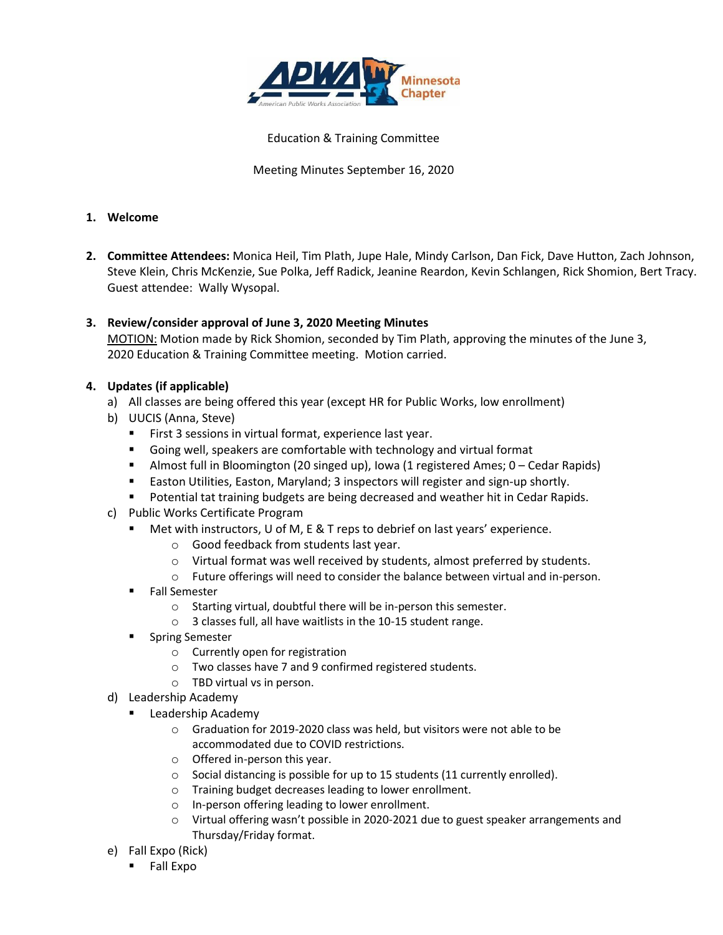

Education & Training Committee

Meeting Minutes September 16, 2020

### **1. Welcome**

- **2. Committee Attendees:** Monica Heil, Tim Plath, Jupe Hale, Mindy Carlson, Dan Fick, Dave Hutton, Zach Johnson, Steve Klein, Chris McKenzie, Sue Polka, Jeff Radick, Jeanine Reardon, Kevin Schlangen, Rick Shomion, Bert Tracy. Guest attendee: Wally Wysopal.
- **3. Review/consider approval of June 3, 2020 Meeting Minutes** MOTION: Motion made by Rick Shomion, seconded by Tim Plath, approving the minutes of the June 3, 2020 Education & Training Committee meeting. Motion carried.

# **4. Updates (if applicable)**

- a) All classes are being offered this year (except HR for Public Works, low enrollment)
- b) UUCIS (Anna, Steve)
	- First 3 sessions in virtual format, experience last year.
	- Going well, speakers are comfortable with technology and virtual format
	- Almost full in Bloomington (20 singed up), Iowa (1 registered Ames; 0 Cedar Rapids)
	- Easton Utilities, Easton, Maryland; 3 inspectors will register and sign-up shortly.
	- Potential tat training budgets are being decreased and weather hit in Cedar Rapids.
- c) Public Works Certificate Program
	- Met with instructors, U of M, E & T reps to debrief on last years' experience.
		- o Good feedback from students last year.
		- o Virtual format was well received by students, almost preferred by students.
		- o Future offerings will need to consider the balance between virtual and in-person.
	- Fall Semester
		- o Starting virtual, doubtful there will be in-person this semester.
		- o 3 classes full, all have waitlists in the 10-15 student range.
	- Spring Semester
		- o Currently open for registration
		- o Two classes have 7 and 9 confirmed registered students.
		- o TBD virtual vs in person.
- d) Leadership Academy
	- Leadership Academy
		- o Graduation for 2019-2020 class was held, but visitors were not able to be accommodated due to COVID restrictions.
		- o Offered in-person this year.
		- o Social distancing is possible for up to 15 students (11 currently enrolled).
		- o Training budget decreases leading to lower enrollment.
		- o In-person offering leading to lower enrollment.
		- o Virtual offering wasn't possible in 2020-2021 due to guest speaker arrangements and Thursday/Friday format.
- e) Fall Expo (Rick)
	- Fall Expo